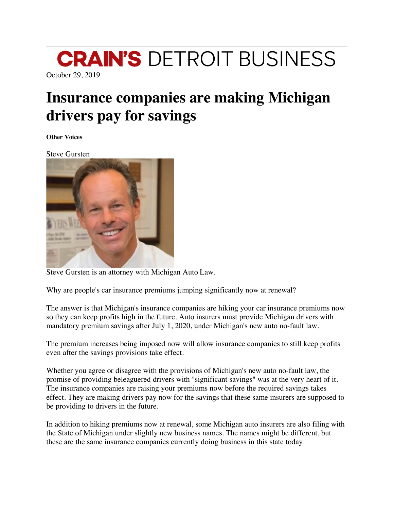## **CRAIN'S DETROIT BUSINESS**

October 29, 2019

## **Insurance companies are making Michigan drivers pay for savings**

**Other Voices**

Steve Gursten



Steve Gursten is an attorney with Michigan Auto Law.

Why are people's car insurance premiums jumping significantly now at renewal?

The answer is that Michigan's insurance companies are hiking your car insurance premiums now so they can keep profits high in the future. Auto insurers must provide Michigan drivers with mandatory premium savings after July 1, 2020, under Michigan's new auto no-fault law.

The premium increases being imposed now will allow insurance companies to still keep profits even after the savings provisions take effect.

Whether you agree or disagree with the provisions of Michigan's new auto no-fault law, the promise of providing beleaguered drivers with "significant savings" was at the very heart of it. The insurance companies are raising your premiums now before the required savings takes effect. They are making drivers pay now for the savings that these same insurers are supposed to be providing to drivers in the future.

In addition to hiking premiums now at renewal, some Michigan auto insurers are also filing with the State of Michigan under slightly new business names. The names might be different, but these are the same insurance companies currently doing business in this state today.